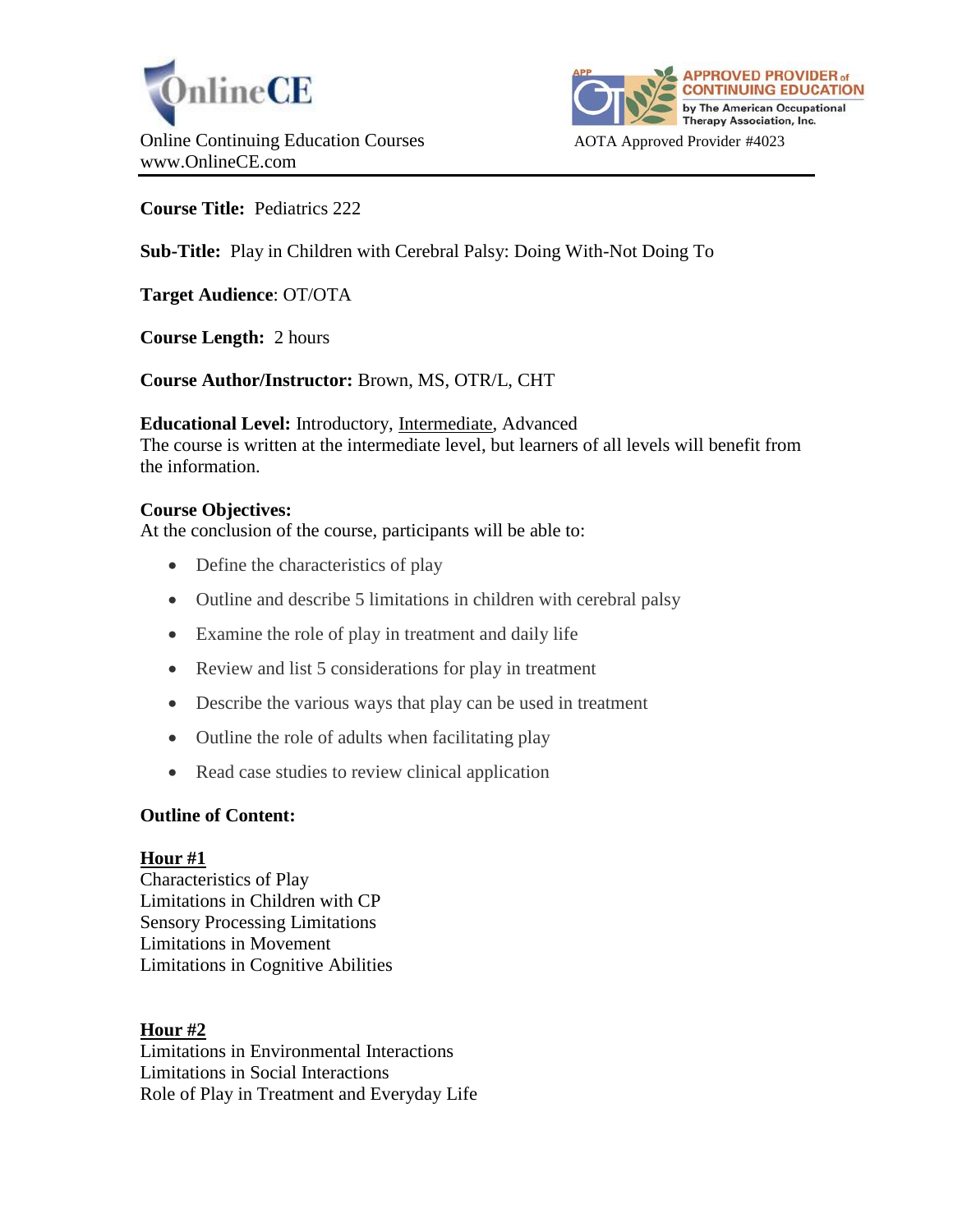



**Course Title:** Pediatrics 222

**Sub-Title:** Play in Children with Cerebral Palsy: Doing With-Not Doing To

**Target Audience**: OT/OTA

**Course Length:** 2 hours

**Course Author/Instructor:** Brown, MS, OTR/L, CHT

**Educational Level:** Introductory, Intermediate, Advanced The course is written at the intermediate level, but learners of all levels will benefit from the information.

## **Course Objectives:**

At the conclusion of the course, participants will be able to:

- Define the characteristics of play
- Outline and describe 5 limitations in children with cerebral palsy
- Examine the role of play in treatment and daily life
- Review and list 5 considerations for play in treatment
- Describe the various ways that play can be used in treatment
- Outline the role of adults when facilitating play
- Read case studies to review clinical application

## **Outline of Content:**

## **Hour #1**

Characteristics of Play Limitations in Children with CP Sensory Processing Limitations Limitations in Movement Limitations in Cognitive Abilities

## **Hour #2**

Limitations in Environmental Interactions Limitations in Social Interactions Role of Play in Treatment and Everyday Life